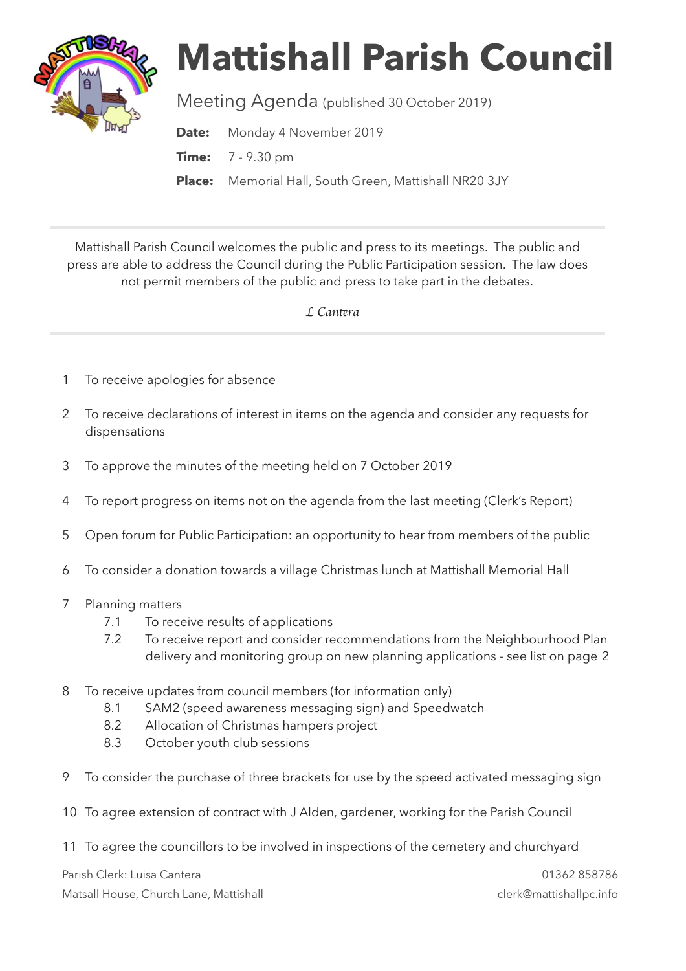

## **Mattishall Parish Council**

Meeting Agenda (published 30 October 2019)

**Date:** Monday 4 November 2019

**Time:** 7 - 9.30 pm

**Place:** Memorial Hall, South Green, Mattishall NR20 3JY

Mattishall Parish Council welcomes the public and press to its meetings. The public and press are able to address the Council during the Public Participation session. The law does not permit members of the public and press to take part in the debates.

 *L Can*t*ra* 

- 1 To receive apologies for absence
- 2 To receive declarations of interest in items on the agenda and consider any requests for dispensations
- 3 To approve the minutes of the meeting held on 7 October 2019
- 4 To report progress on items not on the agenda from the last meeting (Clerk's Report)
- 5 Open forum for Public Participation: an opportunity to hear from members of the public
- 6 To consider a donation towards a village Christmas lunch at Mattishall Memorial Hall
- 7 Planning matters
	- 7.1 To receive results of applications
	- 7.2 To receive report and consider recommendations from the Neighbourhood Plan delivery and monitoring group on new planning applications - see list on page 2
- 8 To receive updates from council members (for information only)
	- 8.1 SAM2 (speed awareness messaging sign) and Speedwatch
	- 8.2 Allocation of Christmas hampers project
	- 8.3 October youth club sessions
- 9 To consider the purchase of three brackets for use by the speed activated messaging sign
- 10 To agree extension of contract with J Alden, gardener, working for the Parish Council
- 11 To agree the councillors to be involved in inspections of the cemetery and churchyard

Parish Clerk: Luisa Cantera 01362 858786 Matsall House, Church Lane, Mattishall clerk@mattishallpc.info